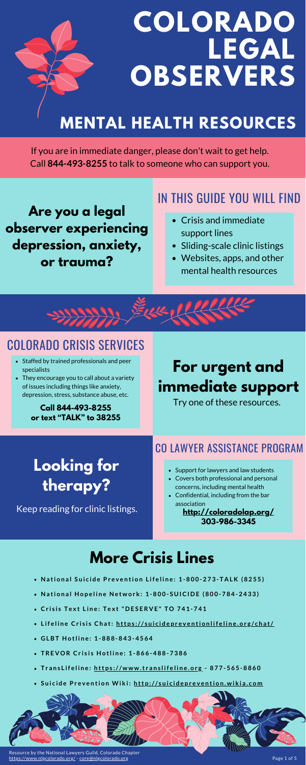

### **For urgent and immediate support**

#### COLORADO CRISIS SERVICES

- Staffed by trained professionals and peer specialists
- They encourage you to call about a variety of issues including things like anxiety, depression, stress, substance abuse, etc.

- Support for lawyers and law students
- Covers both professional and personal concerns, including mental health
- Confidential, including from the bar association
- Crisis and immediate support lines
- Sliding-scale clinic listings
- Websites, apps, and other mental health resources



**Are you a legal observer experiencing depression, anxiety, or trauma?**

If you are in immediate danger, please don't wait to get help. Call **844-493-8255** to talk to someone who can support you.

### **Looking for therapy?**

### **More Crisis Lines**

- National Suicide Prevention Lifeline: 1-800-273-TALK (8255)
- National Hopeline Network: 1-800-SUICIDE (800-784-2433)
- Crisis Text Line: Text "DESERVE" TO 741-741
- Lifeline Crisis Chat: https[://](https://suicidepreventionlifeline.org/chat/)suicidepreventionlifeline.org/chat/
- **G LBT H o tl i n e : 1 - 8 8 8 - 8 4 3 - 4 5 6 4**
- TREVOR Crisis Hotline: 1-866-488-7386
- · TransLifeline: https[://](https://www.translifeline.org/)www.translifeline.org 877-565-8860
- Suicide Prevention Wiki: http[://](http://suicideprevention.wikia.com/)suicideprevention.wikia.com



#### IN THIS GUIDE YOU WILL FIND

Resource by the National Lawyers Guild, Colorado Chapter <https://www.nlgcolorado.org/> - [core@nlgcolorado.org](mailto:core@nlgcolorado.org)

**Call 844-493-8255 or text "TALK" to 38255**

#### CO LAWYER ASSISTANCE PROGRAM

**<http://coloradolap.org/> 303-986-3345**

Keep reading for clinic listings.

Try one of these resources.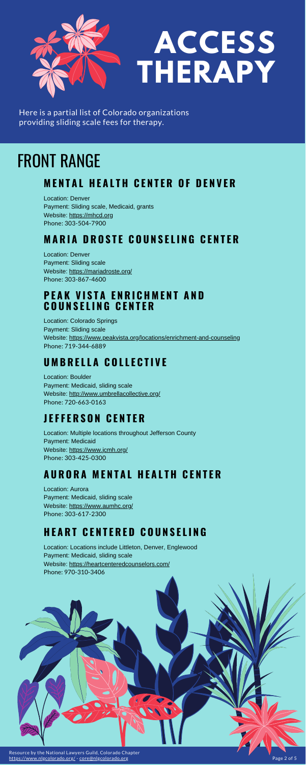Location: Denver Payment: Sliding scale, Medicaid, grants Website: [https://mhcd.org](https://mhcd.org/) Phone: 303-504-7900

#### **MARIA DROSTE COUNSELING CENTER**

Location: Denver Payment: Sliding scale Website: <https://mariadroste.org/> Phone: 303-867-4600

### FRONT RANGE

#### **MENTAL HEALTH CENTER OF DENVER**

#### **P E A K V I S T A E N R I C H M E N T A N D C O U N S E L I N G C E N T E R**

Location: Colorado Springs Payment: Sliding scale Website: <https://www.peakvista.org/locations/enrichment-and-counseling> Phone: 719-344-6889

#### **U M B R E L L A C O L L E C T I V E**

Location: Boulder Payment: Medicaid, sliding scale Website: <http://www.umbrellacollective.org/> Phone: 720-663-0163

#### **J E F F E R S O N C E N T E R**

Location: Multiple locations throughout Jefferson County Payment: Medicaid Website: <https://www.jcmh.org/> Phone: 303-425-0300

#### **A U R O R A M E N T A L H E A L T H C E N T E R**

Location: Aurora Payment: Medicaid, sliding scale Website: <https://www.aumhc.org/> Phone: 303-617-2300

#### **H E A R T C E N T E R E D C O U N S E L I N G**

Location: Locations include Littleton, Denver, Englewood Payment: Medicaid, sliding scale Website: <https://heartcenteredcounselors.com/> Phone: 970-310-3406





# **ACCESS THERAPY**

Here is a partial list of Colorado organizations providing sliding scale fees for therapy.

Resource by the National Lawyers Guild, Colorado Chapter <https://www.nlgcolorado.org/> - [core@nlgcolorado.org](mailto:core@nlgcolorado.org) Page 2 of 5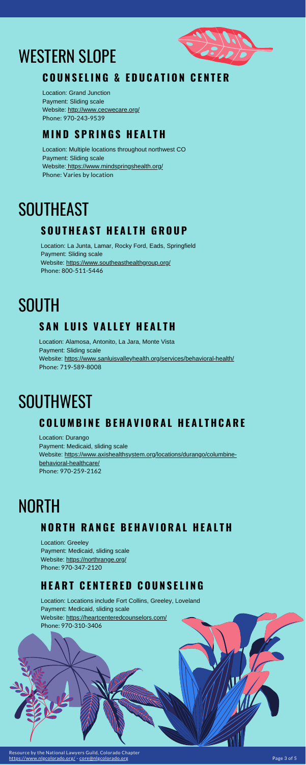Location: Grand Junction Payment: Sliding scale Website: <http://www.cecwecare.org/> Phone: 970-243-9539

### WESTERN SLOPE



#### **COUNSELING & EDUCATION CENTER**

#### **M I N D S P R I N G S H E A L T H**

Location: Multiple locations throughout northwest CO Payment: Sliding scale Website:<https://www.mindspringshealth.org/> Phone: Varies by location

### **SOUTHEAST**

#### $S$  **OUTHEAST HEALTH GROUP**

Location: Greeley Payment: Medicaid, sliding scale Website:<https://northrange.org/> Phone: 970-347-2120

### NORTH

#### **NORTH RANGE BEHAVIORAL HEALTH**

#### **H E A R T C E N T E R E D C O U N S E L I N G**

Location: Locations include Fort Collins, Greeley, Loveland Payment: Medicaid, sliding scale Website:<https://heartcenteredcounselors.com/> Phone: 970-310-3406

Location: La Junta, Lamar, Rocky Ford, Eads, Springfield Payment: Sliding scale Website:<https://www.southeasthealthgroup.org/> Phone: 800-511-5446

## **SOUTH**

#### **S A N L U I S V A L L E Y H E A L T H**

Location: Alamosa, Antonito, La Jara, Monte Vista Payment: Sliding scale Website: <https://www.sanluisvalleyhealth.org/services/behavioral-health/> Phone: 719-589-8008

### **SOUTHWEST**

#### **COLUMBINE BEHAVIORAL HEALTHCARE**

Location: Durango Payment: Medicaid, sliding scale [Website: https://www.axishealthsystem.org/locations/durango/columbine-](https://www.axishealthsystem.org/locations/durango/columbine-behavioral-healthcare/)

behavioral-healthcare/ Phone: 970-259-2162

Resource by the National Lawyers Guild, Colorado Chapter <https://www.nlgcolorado.org/> - [core@nlgcolorado.org](mailto:core@nlgcolorado.org) Page 3 of 5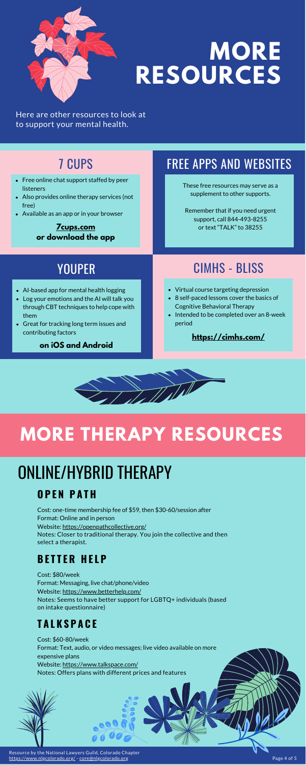

## **MORE RESOURCES**

These free resources may serve as a supplement to other supports.

Remember that if you need urgent support, call 844-493-8255 or text "TALK" to 38255

- AI-based app for mental health logging
- Log your emotions and the AI will talk you through CBT techniques to help cope with them
- Great for tracking long term issues and contributing factors

### **MORE THERAPY RESOURCES**

Cost: \$80/week Format: Messaging, live chat/phone/video Website: <https://www.betterhelp.com/> Notes: Seems to have better support for LGBTQ+ individuals (based on intake questionnaire)

- Virtual course targeting depression
- 8 self-paced lessons cover the basics of Cognitive Behavioral Therapy
- Intended to be completed over an 8-week period

Cost: \$60-80/week Format: Text, audio, or video messages; live video available on more expensive plans Website: <https://www.talkspace.com/> Notes: Offers plans with different prices and features

Cost: one-time membership fee of \$59, then \$30-60/session after Format: Online and in person Website: <https://openpathcollective.org/> Notes: Closer to traditional therapy. You join the collective and then select a therapist.

- Free online chat support staffed by peer listeners
- Also provides online therapy services (not free)
- Available as an app or in your browser

### ONLINE/HYBRID THERAPY

Here are other resources to look at to support your mental health.

### 7 CUPS

**[7cups.com](https://www.7cups.com/) or download the app**

### CIMHS - BLISS

#### **<https://cimhs.com/>**



#### YOUPER

**on iOS and Android**

#### **B E T T E R H E L P**

#### **T A L K S P A C E**

#### **O P E N P A T H**

### FREE APPS AND WEBSITES